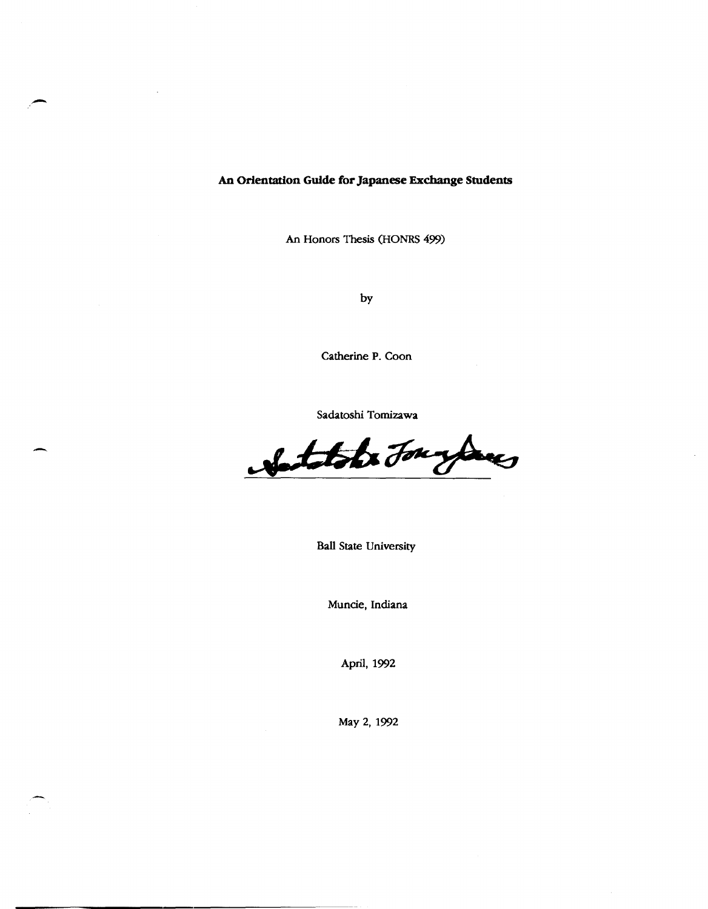**An Orientation Guide for Japanese Exchange Students** 

-

-

An Honors Thesis (HONRS 499)

by

Catherine P. Coon

Sadatoshi Tomizawa

Notatols Jourdans

Ball State University

Muncie, Indiana

April, 1992

May 2,1992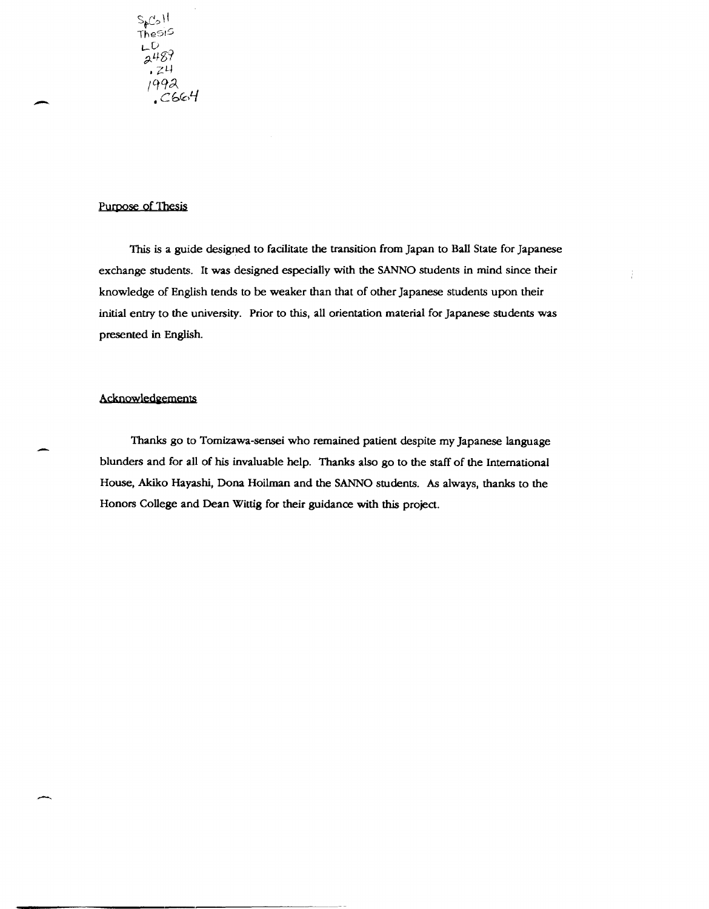# Purpose of Thesis

This is a guide designed to facilitate the transition from Japan to Ball State for Japanese exchange students. It was designed especially with the SANNO students in mind since their knowledge of English tends to be weaker than that of other Japanese students upon their initial entry to the university. Prior to this, all orientation material for Japanese students was presented in English.

# Acknowledaements

--

Thanks go to Tomizawa-sensei who remained patient despite my Japanese language blunders and for all of his invaluable help. Thanks also go to the staff of the International House, Akiko Hayashi, Dona Hoilman and the SANNO students. As always, thanks to the Honors College and Dean Wittig for their guidance with this project.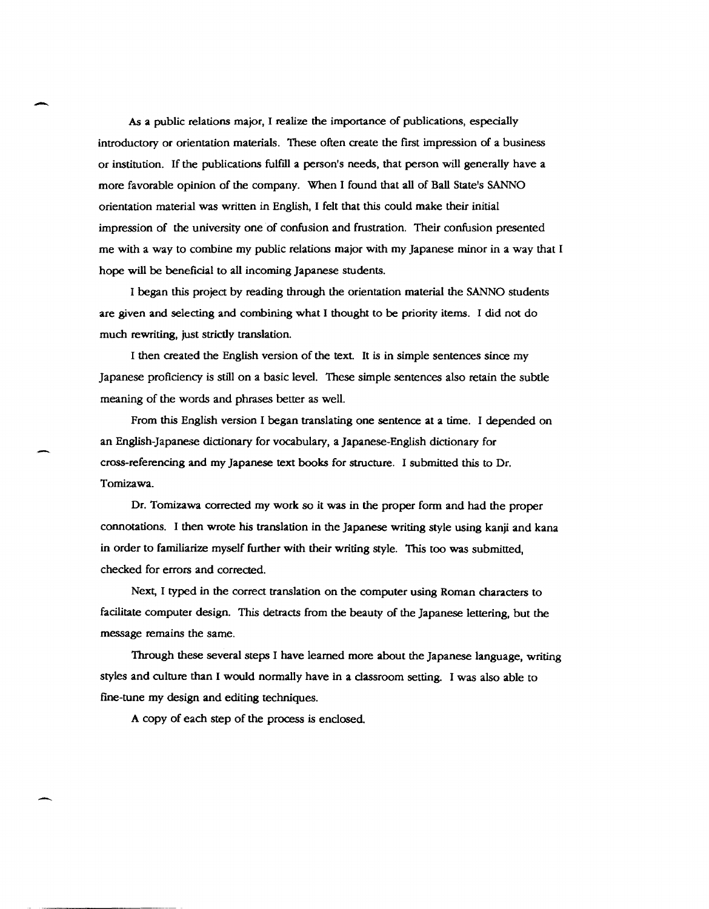As a public relations major, I realize the importance of publications, especially introductory or orientation materials. These often create the first impression of a business or institution. If the publications fulfill a person's needs, that person will generally have a more favorable opinion of the company. When I found that all of Ball State's SANNO orientation material was written in English, I felt that this could make their initial impression of the university one of confusion and frustration. Their confusion presented me with a way to combine my public relations major with my Japanese minor in a way that I hope will be beneficial to all incoming Japanese students.

-

-

I began this project by reading through the orientation material the SANNO students are given and selecting and combining what I thought to be priority items. I did not do much rewriting, just strictly translation.

I then created the English version of the text. It is in simple sentences since my Japanese proficiency is still on a basic level. These simple sentences also retain the subtle meaning of the words and phrases better as well.

From this English version I began translating one sentence at a time. I depended on an English-Japanese dictionary for vocabulary, a Japanese-English dictionary for cross-referencing and my Japanese text books for structure. I submitted this to Dr. Tomizawa.

Dr. Tomizawa corrected my work so it was in the proper form and had the proper connotations. I then wrote his translation in the Japanese writing style using kanji and kana in order to familiarize myself further with their writing style. This too was submitted, checked for errors and corrected.

Next, I typed in the correct translation on the computer using Roman characters to facilitate computer design. This detracts from the beauty of the Japanese lettering, but the message remains the same.

Through these several steps I have learned more about the Japanese language, writing styles and culture than I would normally have in a classroom setting. I was also able to fine-tune my design and editing techniques.

A copy of each step of the process is enclosed.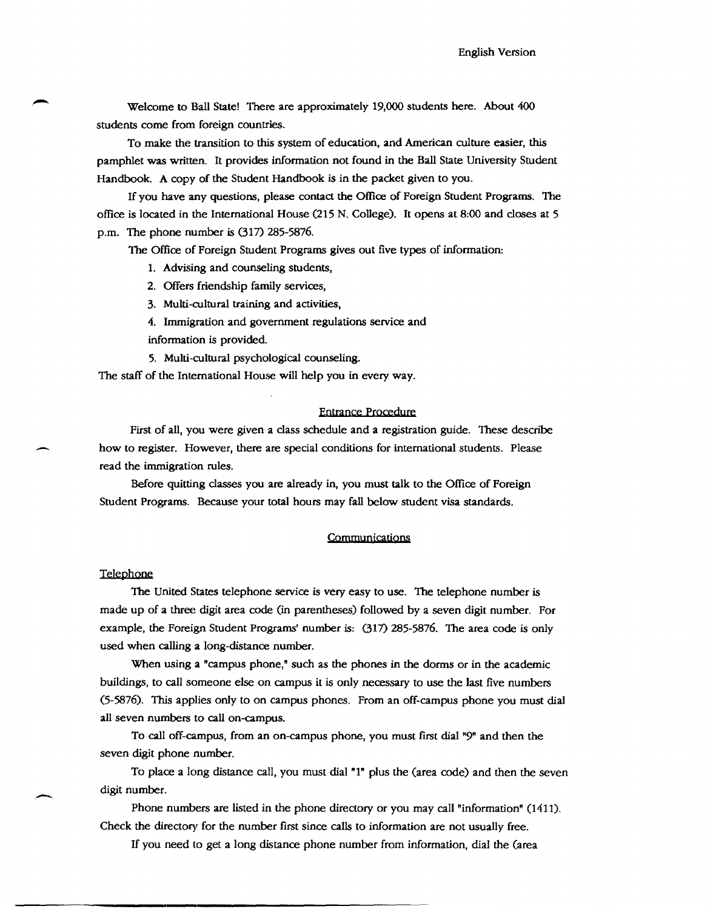Welcome to Ball State! There are approximately 19,000 students here. About 400 students come from foreign countries.

To make the transition to this system of education, and American culture easier, this pamphlet was written. It provides information not found in the Ball State University Student Handbook. A copy of the Student Handbook is in the packet given to you.

If you have any questions, please contact the Office of Foreign Student Programs. The office is located in the International House (215 N. College). It opens at 8:00 and closes at 5 p.m. The phone number is (317) 285-5876.

The Office of Foreign Student Programs gives out five types of information:

- 1. Advising and counseling students,
- 2. Offers friendship family services,
- 3. Multi-cultural training and activities,
- 4. Immigration and government regulations service and
- information is provided.
- 5. Multi-cultural psychological counseling.

The staff of the International House will help you in every way.

#### Entrance Procedure

First of all, you were given a class schedule and a registration guide. These describe how to register. However, there are special conditions for international students. Please read the immigration rules.

Before quitting classes you are already in, you must talk to the Office of Foreign Student Programs. Because your total hours may fall below student visa standards.

#### COmmunications

#### Telephone

-

The United States telephone service is very easy to use. The telephone number is made up of a three digit area code (in parentheses) followed by a seven digit number. For example, the Foreign Student Programs' number is: (317) 285-5876. The area code is only used when calling a long-distance number.

When using a "campus phone," such as the phones in the dorms or in the academic buildings, to call someone else on campus it is only necessary to use the last five numbers (5-5876). This applies only to on campus phones. From an off-campus phone you must dial all seven numbers to call on-campus.

To call off-campus, from an on-campus phone, you must first dial "9" and then the seven digit phone number.

To place a long distance call, you must dial "1" plus the (area code) and then the seven digit number.

phone numbers are listed in the phone directory or you may call "information" (1411). Check the directory for the number first since calls to information are not usually free.

If you need to get a long distance phone number from information, dial the (area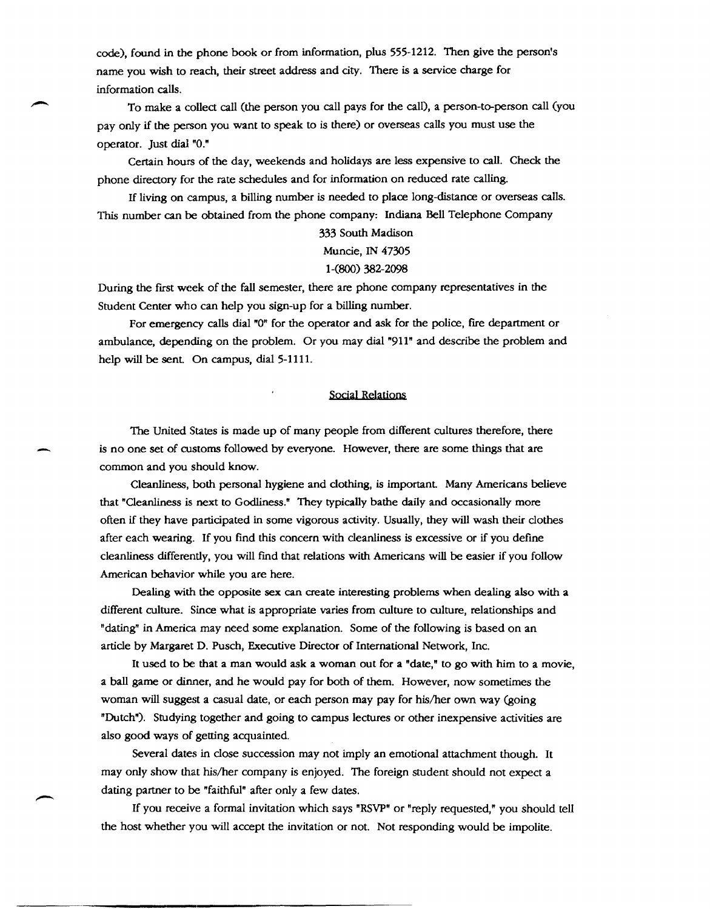code), found in the phone book or from information, plus 555-1212. Then give the person's name you wish to reach, their street address and city. There is a service charge for information calls.

To make a collect call (the person you call pays for the call), a person-to-person call (you pay only if the person you want to speak to is there) or overseas calls you must use the operator. Just dial "0."

Certain hours of the day, weekends and holidays are less expensive to call. Check the phone directory for the rate schedules and for information on reduced rate calling.

If living on campus, a billing number is needed to place long-distance or overseas calls. 1bis number can be obtained from the phone company: Indiana Bell Telephone Company

# 333 South Madison

# Muncie, IN 47305

# 1-(800) 382-2098

During the first week of the fall semester, there are phone company representatives in the Student Center who can help you sign-up for a billing number.

For emergency calls dial "0" for the operator and ask for the police, fire department or ambulance, depending on the problem. Or you may dial "911" and describe the problem and help will be sent. On campus, dial 5-1111.

#### Social Relations

The United States is made up of many people from different cultures therefore, there is no one set of customs followed by everyone. However, there are some things that are common and you should know.

Cleanliness, both personal hygiene and clothing, is important Many Americans believe that "Cleanliness is next to Godliness." They typically bathe daily and occasionally more often if they have participated in some vigorous activity. Usually, they will wash their clothes after each wearing. If you find this concern with cleanliness is excessive or if you define cleanliness differently, you will fmd that relations with Americans will be easier if you follow American behavior while you are here.

Dealing with the opposite sex can create interesting problems when dealing also with a different culture. Since what is appropriate varies from culture to culture, relationships and "dating" in America may need some explanation. Some of the following is based on an article by Margaret D. Pusch, Executive Director of International Network, Inc.

It used to be that a man would ask a woman out for a "date," to go with him to a movie, a ball game or dinner, and he would pay for both of them. However, now sometimes the woman will suggest a casual date, or each person may pay for his/her own way (going "Dutch"). Studying together and going to campus lectures or other inexpensive activities are also good ways of getting acquainted.

Several dates in close succession may not imply an emotional attachment though. It may only show that his/her company is enjoyed. The foreign student should not expect a dating partner to be "faithful" after only a few dates.

-

If you receive a formal invitation which says "RSVP" or "reply requested," you should tell the host whether you will accept the invitation or not. Not responding would be impolite.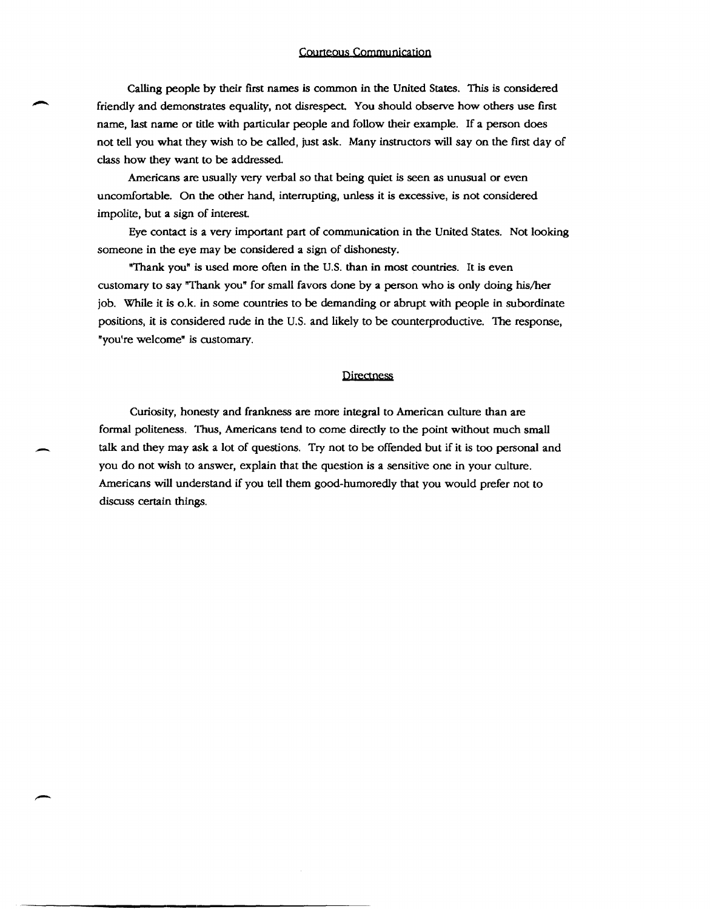#### Courteous Communication

Calling people by their first names is common in the United States. This is considered friendly and demonstrates equality, not disrespect. You should observe how others use first name, last name or title with particular people and follow their example. If a person does not tell you what they wish to be called, just ask. Many instructors will say on the first day of class how they want to be addressed.

Americans are usually very verbal so that being quiet is seen as unusual or even uncomfortable. On the other hand, interrupting, unless it is excessive, is not considered impolite, but a sign of interest

Eye contact is a very important part of communication in the United States. Not looking someone in the eye may be considered a sign of dishonesty.

"Thank you" is used more often in the U.S. than in most countries. It is even customary to say "Thank you" for small favors done by a person who is only doing his/her job. While it is o.k. in some countries to be demanding or abrupt with people in subordinate positions, it is considered rude in the U.S. and likely to be counterproductive. The response, "you're welcome" is customary.

#### Directness

Curiosity, honesty and frankness are more integral to American culture than are formal politeness. Thus, Americans tend to come directly to the point without much small talk and they may ask a lot of questions. Try not to be offended but if it is too personal and you do not wish to answer, explain that the question is a sensitive one in your culture. Americans will understand if you tell them good-humoredly that you would prefer not to discuss certain things.

-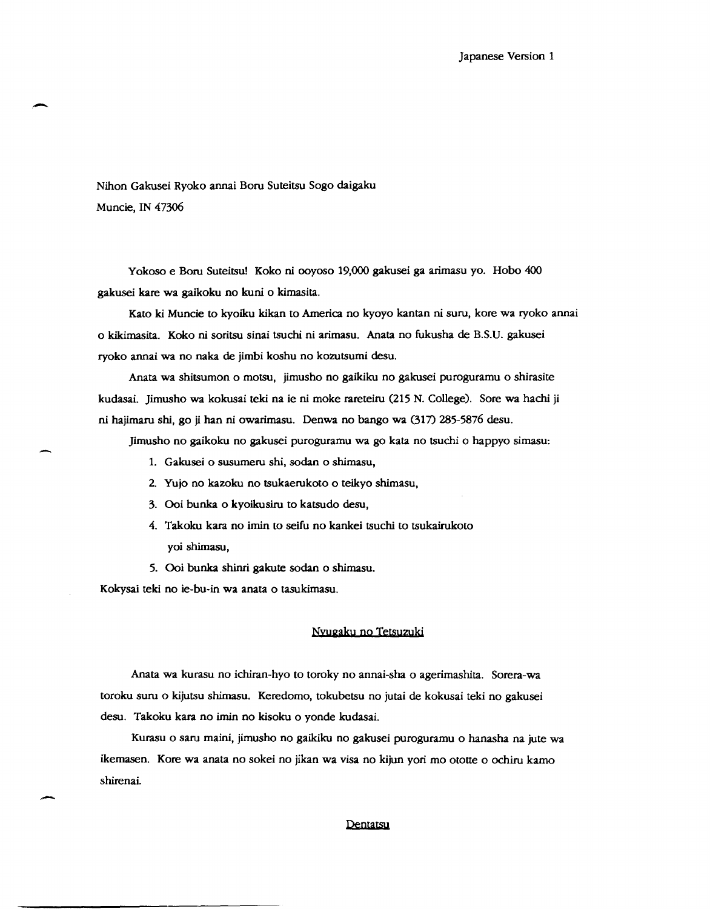Nihon Gakusei Ryoko annai Boru Suteitsu Sogo daigaku Muncie, IN 47306

-

.-

Yokoso e Boru Suteitsu! Koko ni ooyoso 19,000 gakusei ga arimasu yo. Hobo 400 gakusei kare wa gaikoku no kuni 0 kimasita.

Kato ki Muncie to kyoiku kikan to America no kyoyo kantan ni suru, kore wa ryoko annai o kikimasita. Koko ni soritsu sinai tsuchi ni arimasu. Anata no fukusha de B.S.D. gakusei ryoko annai wa no naka de jimbi koshu no kozutsumi desu.

Anata wa shitsumon 0 motsu, jimusho no gaikiku no gakusei puroguramu 0 shirasite kudasai. Jimusho wa kokusai teki na ie ni moke rareteiru (215 N. College). Sore wa hachi ji ni hajimaru shi, go ji han ni owarimasu. Denwa no bango wa (317) 285-5876 desu.

Jimusho no gaikoku no gakusei puroguramu wa go kata no tsuchi 0 happyo simasu:

- 1. Gakusei 0 susumeru shi, sodan 0 shimasu,
- 2. Yujo no kazoku no tsukaerukoto 0 teikyo shimasu,
- 3. Ooi bunka 0 kyoikusiru to katsudo desu,
- 4. Takoku kara no imin to seifu no kankei tsuchi to tsukairukoto yoi shimasu,
- 5. Ooi bunka shinri gakute sodan 0 shimasu.

Kokysai teki no ie-bu-in wa anata 0 tasukimasu.

#### Nvugaku no Ietsuzuki

Anata wa kurasu no ichiran-hyo to toroky no annai-sha 0 agerimashita. Sorera-wa toroku suru o kijutsu shimasu. Keredomo, tokubetsu no jutai de kokusai teki no gakusei desu. Takoku kara no imin no kisoku 0 yonde kudasai.

Kurasu 0 saru maini, jimusho no gaikiku no gakusei puroguramu 0 hanasha na jute wa ikemasen. Kore wa anata no sokei no jikan wa visa no kijun yori mo ototte o ochiru kamo shirenai.

#### Dentatsu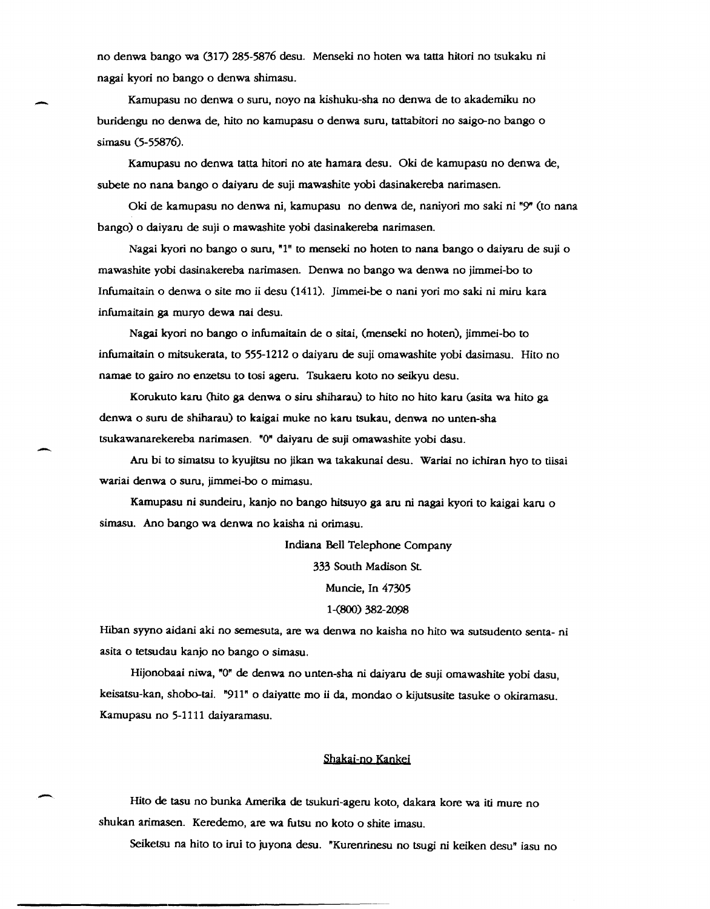no denwa bango wa (317) 285-5876 desu. Menseki no hoten wa tatta hitori no tsukaku ni nagai kyori no bango 0 denwa shimasu.

Kamupasu no denwa 0 suru, noyo na kishuku-sha no denwa de to akademiku no buridengu no denwa de, hito no kamupasu 0 denwa suru, tattabitori no saigo-no bango 0 simasu (5-55876).

-

-

-

Kamupasu no denwa tatta hitori no ate hamara desu. Oki de kamupaso no denwa de, subete no nana bango o daiyaru de suji mawashite yobi dasinakereba narimasen.

Oki de kamupasu no denwa ni, kamupasu no denwa de, naniyori mo saki ni "9" (to nana bango) 0 daiyaru de suji 0 mawashite yobi dasinakereba narimasen.

Nagai kyori no bango o suru, "1" to menseki no hoten to nana bango o daiyaru de suji o mawashite yobi dasinakereba narimasen. Denwa no bango wa denwa no jimmei-bo to Infumaitain 0 denwa 0 site mo ii desu (1411). Jimmei-be 0 nani yori mo saki ni miru kara infumaitain ga muryo dewa nai desu.

Nagai kyori no bango 0 infumaitain de 0 sitai, (menseki no hoten), jimmei-bo to infumaitain 0 mitsukerata, to 555-12120 daiyaru de suji omawashite yobi dasimasu. Hito no narnae to gairo no enzetsu to tosi ageru. Tsukaeru koto no seikyu desu.

Korukuto karu (hito ga denwa 0 siru shiharau) to hito no hito karu (asita wa hito ga denwa 0 suru de shiharau) to kaigai muke no karu tsukau, denwa no unten-sha tsukawanarekereba narimasen. "0" daiyaru de suji ornawashite yobi dasu.

Aru bi to sirnatsu to kyujitsu no jikan wa takakunai desu. Wariai no ichiran hyo to tiisai wariai denwa 0 suru, jimmei-bo 0 mimasu.

Kamupasu nj sundeiru, kanjo no bango hitsuyo ga aru ni nagai kyori to kaigai karu <sup>0</sup> simasu. Ano bango wa denwa no kaisha ni orimasu.

Indiana Bell Telephone Company

333 South Madison St

Muncie, In 47305

1-(800) 382-2098

Hiban syyno aidani aki no semesuta, are wa denwa no kaisha no hito wa sutsudento senta- ni asita 0 tetsudau kanjo no bango 0 simasu.

Hijonobaai niwa, "0" de denwa no unten-sha ni daiyaru de suji ornawashite yobi dasu, keisatsu-kan, shobo-tai. "911" 0 daiyatte mo ii da, mondao 0 kijutsusite tasuke 0 okiramasu. Kamupasu no 5-1111 daiyaramasu.

#### Shakai-no Kankei

Hito de tasu no bunka Amerika de tsukuri-ageru koto, dakara kore wa iti mure no shukan arimasen. Keredemo, are wa futsu no koto 0 shite imasu.

Seiketsu na hito to irui to juyona desu. "Kurenrinesu no tsugi ni keiken desu" iasu no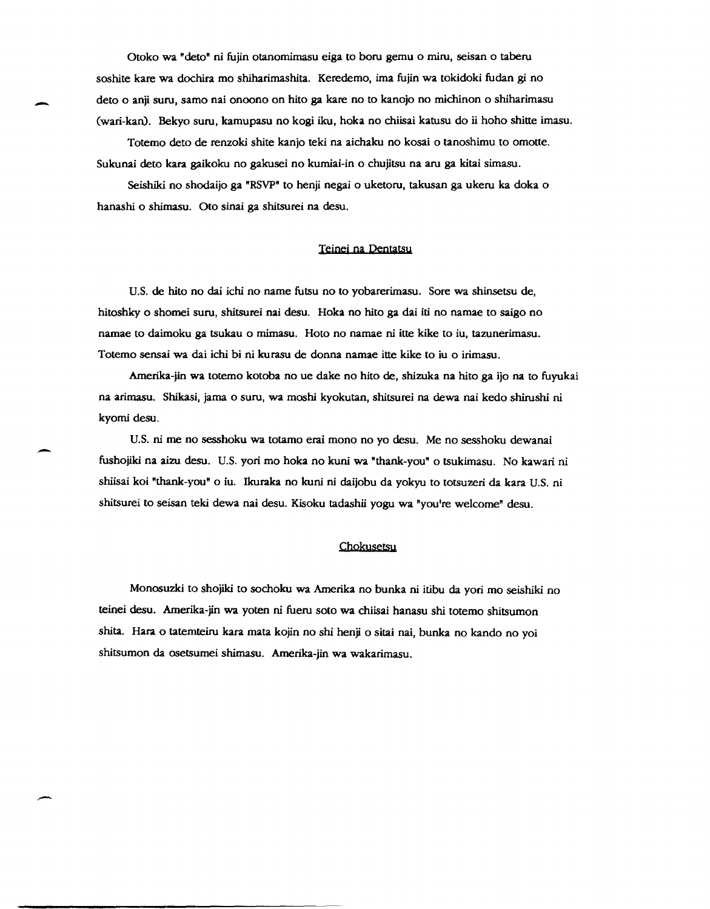Otoko wa "deto" ni fujin otanomimasu eiga to boru gemu 0 miru, seisan 0 taberu soshite kare wa doehira mo shiharimashita. Keredemo, ima fujin wa tokidoki fudan gi no deto 0 anji suru, sarno nai onoono on hito ga kare no to kanojo no michinon 0 shiharimasu Cwari-kan). Bekyo suru, kamupasu no kogi iku, hoka no chiisai katusu do ii hoho shitte imasu.

Totemo deto de renzoki shite kanjo teki na aichaku no kosai 0 tanoshimu to omotte. Sukunai deto kara gaikoku no gakusei no kumiai-in 0 ehujitsu na aru ga kitai simasu.

-

Seishiki no shodaijo ga "RSVP" to henji negai 0 uketoru, takusan ga ukeru ka doka 0 hanashi 0 shimasu. Oto sinai ga shitsurei na desu.

#### Teinei na Dentatsu

U.S. de hito no dai khi no name futsu no to yobarerimasu. Sore wa shinsetsu de, hitoshky 0 shomei suru, shitsurei nai desu. Hoka no hito ga dai iti no namae to saigo no namae to daimoku ga tsukau o mimasu. Hoto no namae ni itte kike to iu, tazunerimasu. Totemo sensai wa dai ichi bi ni kurasu de donna namae itte kike to iu 0 irimasu.

Amerika-jio wa totemo kotoba no ue dake no hito de, shizuka na hito ga ijo na to fuyukai na arimasu. Shikasi, jama 0 suru, wa moshi kyokutan, shitsurei na dewa nai kedo shirushi Pi kyomi desu.

U.S. ni me no sesshoku wa totamo erai mono no yo desu. Me no sesshoku dewanai fushojiki na aizu desu. U.S. yori mo hoka no kuni wa "thank-you" 0 tsukimasu. No kawari ni shiisai koi "thank-you" 0 iu. Ikuraka no kuni ni daijobu da yokyu to totsuzeri da kara U.S. ni shitsurei to seisan teki dewa nai desu. Kisoku tadashii yogu wa "you're welcome" desu.

### Chokusetsu

Monosuzki to shojiki to sochoku wa Amerika no bunka Pi itibu da yori mo seishiki no teinei desu. Amerika-jin wa yoten ni fueru soto wa chiisai hanasu shi totemo shitsumon shita. Hara o tatemteiru kara mata kojin no shi henji o sitai nai, bunka no kando no yoi shitsumon da osetsumei shimasu. Amerika-jio wa wakarimasu.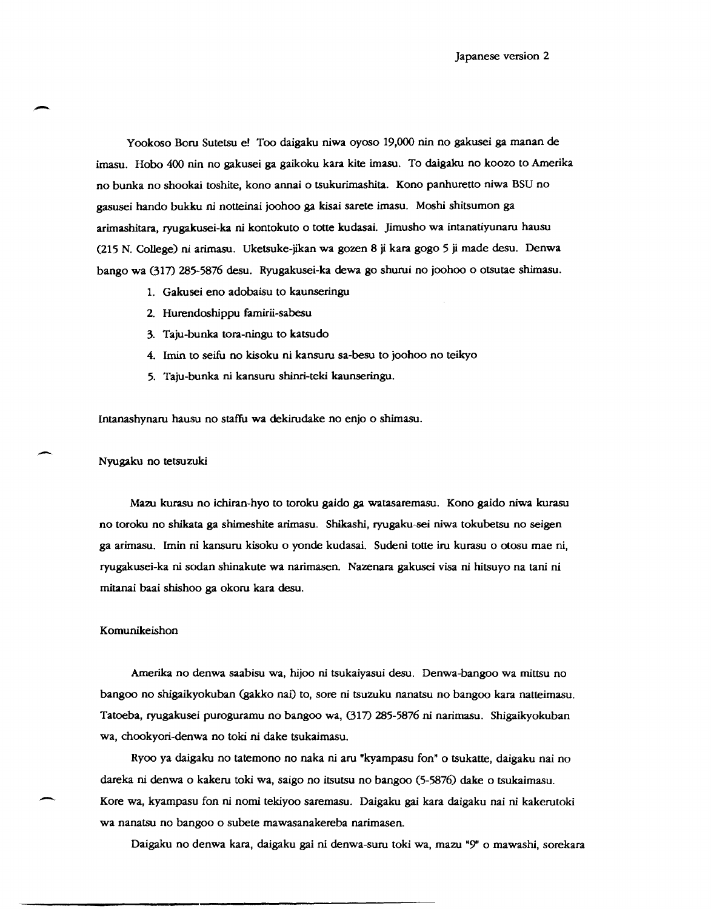Yookoso Boru Sutetsu e! Too daigaku niwa oyoso 19,000 nin no gakusei ga manan de irnasu. Hobo 400 nin no gakusei ga gaikoku kara kite imasu. To daigaku no koozo to Amerika no bunka no shookai toshite, kono annai 0 tsukurimashita. Kono panhuretto niwa BSU no gasusei hando bukku ni notteinai joohoo ga kisai sarete imasu. Moshi shitsumon ga arimashitara, ryugakusei-ka ni kontokuto 0 totte kudasai. Jimusho wa intanatiyunaru hausu (215 N. College) ni arimasu. Uketsuke-jikan wa gozen 8 ji kara gogo 5 ji made desu. Denwa bango wa (317) 285-5876 desu. Ryugakusei-ka dewa go shurui no joohoo 0 otsutae shimasu.

- 1. Gakusei eno adobaisu to kaunseringu
- 2. Hurendoshippu famirii-sabesu
- 3. Taju-bunka tora-ningu to katsudo
- 4. lmin to seifu no kisoku ni kansuru sa-besu to joohoo no teikyo
- 5. Taju-bunka ni kansuru shinri-teki kaunseringu.

Intanashynaru bausu no staffu wa dekirudake no enjo 0 shimasu.

#### Nyugaku no tetsuzuki

-

Mazu kurasu no ichiran-hyo to toroku gaido ga watasaremasu. Kono gaido niwa kurasu no toroku no shikata ga shimeshite arirnasu. Shikashi, ryugaku-sei niwa tokubetsu no seigen ga arimasu. !min ni kansuru kisoku 0 yonde kudasai. Sudeni totte iru kurasu 0 otosu mae ni, ryugakusei-ka ni scldan shinakute wa narimasen. Nazenara gakusei visa ni hitsuyo na tani ni mitanai baai shishoo ga okoru kara desu.

#### Komunikeishon

-

Amerika no denwa saabisu wa, hijoo ni tsukaiyasui desu. Denwa-bangoo wa mittsu no bangoo no shigaikyokuban (gakko nai) to, sore ni tsuzuku nanatsu no bangoo kara natteimasu. Tatoeba, ryugakusei puroguramu no bangoo wa, (317) 285-5876 ni narirnasu. Shigaikyokuban wa, chookyori-denwa no toki ni dake tsukaimasu.

Ryoo ya daigaku no tatemono no naka ni aru "kyampasu fon" 0 tsukatte, daigaku nai no dareka ni denwa 0 kakeru toki wa, saigo no itsutsu no bangoo (5-5876) dake 0 tsukairnasu. Kore wa, kyampasu fon ni nomi tekiyoo saremasu. Daigaku gai kara daigaku nai ni kakerutoki wa nanatsu no bangoo 0 subete mawasanakereba narimasen.

Daigaku no denwa kara, daigaku gai ni denwa-suru toki wa, mazu "9" 0 mawashi, sorekara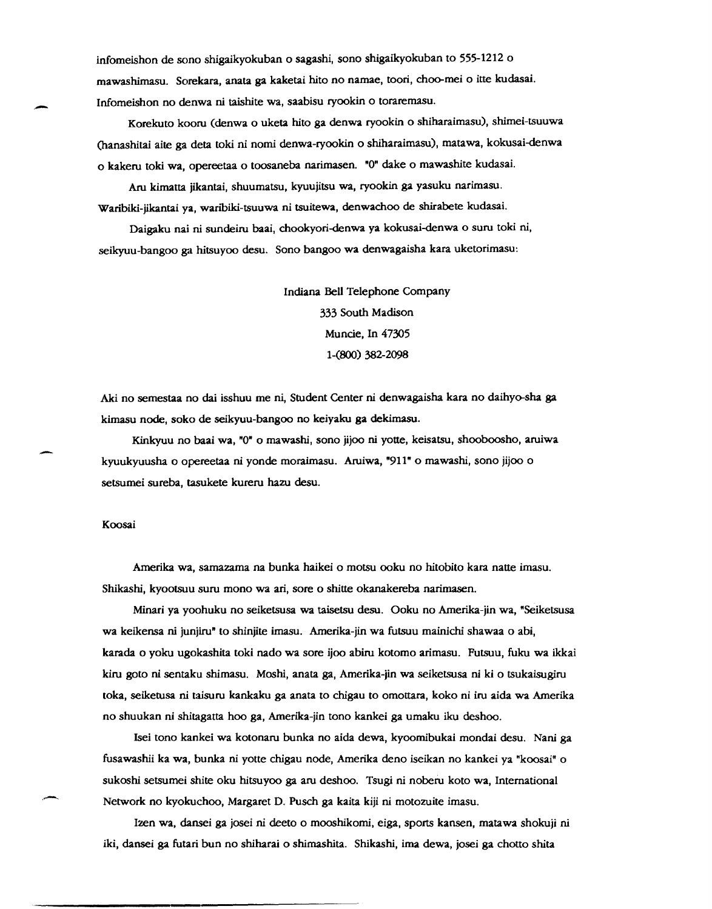infomeishon de sono shigaikyokuban 0 sagashi, sono shigaikyokuban to 555-1212 <sup>0</sup> mawashimasu. Sorekara, anata ga kaketai hito no namae, toori, choo-mei 0 itte kudasai. Infomeishon no denwa ni taishite wa, saabisu ryookin 0 toraremasu .

Korekuto kooru (denwa 0 uketa hito ga denwa ryookin 0 shiharaimasu), shimei-tsuuwa (hanashitai aite ga deta toki ni nomi denwa-ryookin 0 shiharaimasu), matawa, kokusai-denwa o kakeru toki wa, opereetaa 0 toosaneba narimasen. "0" dake 0 mawashite kudasai.

Aru kimatta jikantai, shuumatsu, kyuujitsu wa, ryookin ga yasuku narimasu. Waribiki-jikantai ya, waribiki-tsuuwa ni tsuitewa, denwachoo de shirabete kudasai.

Daigaku nai ni sundeiru baai, chookyori-denwa ya kokusai-denwa 0 suru toki ni, seikyuu-bangoo ga hitsuyoo desu. Sono bangoo wa denwagaisha kara uketorimasu:

> Indiana Bell Telephone Company 333 South Madison Muncie, In 47305 1-(800) 382-2098

Aki no semestaa no dai isshuu me ni, Student Center ni denwagaisha kara no daihyo-sha ga kimasu node, soko de seikyuu-bangoo no keiyaku ga dekimasu.

Kinkyuu no baai wa, "0· 0 mawashi, sono jijoo ni yotte, keisatsu, shooboosho, aruiwa kyuukyuusha 0 opereetaa ni yonde moraimasu. Aruiwa, "911" 0 mawashi, sono jijoo 0 setsumei sureba, tasukete kureru hazu desu.

#### Koosai

. -

-

.-

Amerika wa, samazama na bunka haikei 0 motsu ooku no hitobito kara natte imasu. Shikashi, kyootsuu suru mono wa ari, sore 0 shitte okanakereba narimasen.

Minari ya yoohuku no seiketsusa wa taisetsu desu. Ooku no Amerika-jin wa, "Seiketsusa wa keikensa ni junjiru" to shinjite imasu. Amerika-jin wa futsuu mainichi shawaa 0 abi, karada 0 yoku ugokashita toki nado wa sore ijoo abiru kotomo arimasu. Futsuu, fuku wa ikkai kiru goto ni sentaku shimasu. Moshi, anata ga, Amerika-jin wa seiketsusa ni ki 0 tsukaisugiru toka, seiketusa ni taisuru kankaku ga anata to chigau to omottara, koko ni iru aida wa Amerika no shuukan ni shitagatta hoo ga, Amerika-jin tono kankei ga umaku iku deshoo.

!sei tono kankei wa kotonaru bunka no aida dewa, kyoomibukai mondai desu. Nani ga fusawashii ka wa, bunka ni yotte chigau node, Amerika deno iseikan no kankei ya "koosai" 0 sukoshi setsumei shite oku hitsuyoo ga aru deshoo. Tsugi ni noberu koto wa, International Network no kyokuchoo, Margaret D. Pusch ga kaita kiji ni motozuite imasu.

lzen wa, dansei ga josei ni deeto 0 mooshikomi, eiga, sports kansen, matawa shokuji ni iki, dansei ga futari bun no shiharai 0 shimashita. Shikashi, ima dewa, josei ga chotto shita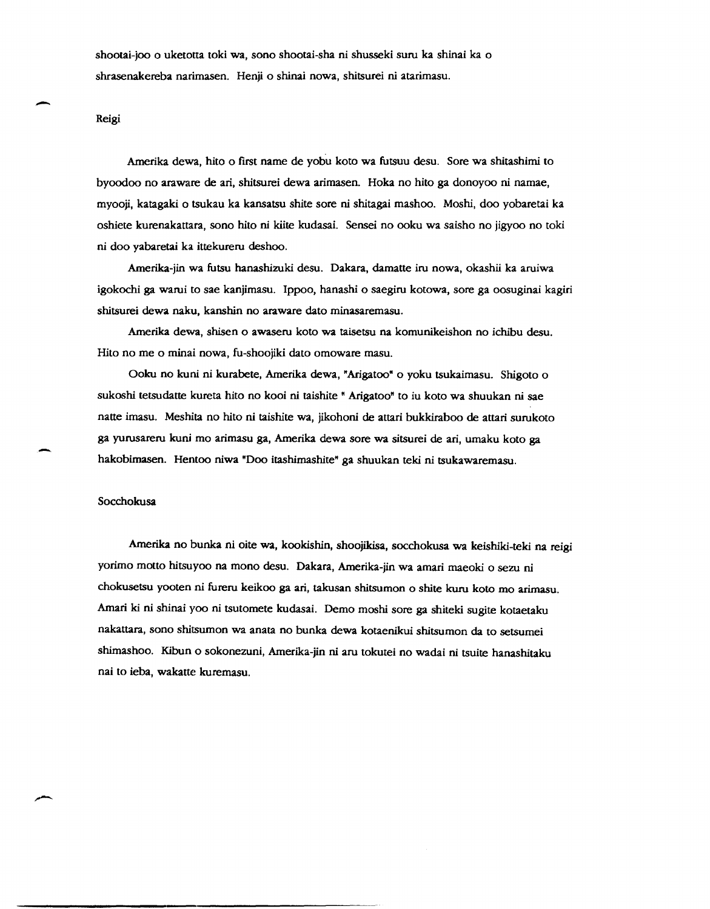shootai-joo 0 uketotta toki wa, sono shootai-sha ni shusseki suru ka shinai ka 0 shrasenakereba narimasen. Henji 0 shinai nowa, shitsurei ni atarimasu.

#### Reigi

-

--

Amerika dewa, hito 0 first name de yobu koto wa futsuu desu. Sore wa shitashimi to byoodoo no araware de ari, shitsurei dewa arimasen. Hoka no hito ga donoyoo ni namae, myooji, katagaki 0 tsukau ka kansatsu shite sore ni shitagai mashoo. Moshi, doo yobaretai ka oshiete kurenakattara, sono hito ni kiite kudasai. Sensei no ooku wa saisho no jigyoo no toki ni doo yabaretai ka ittekureru deshoo.

Amerika-jin wa futsu hanashizuki desu. Dakara, damatte iru nowa, okashii ka aruiwa igokochi ga warui to sae kanjimasu. Ippoo, hanashi 0 saegiru kotowa, sore ga oosuginai kagiri shitsurei dewa naku, kanshin no araware dato minasaremasu.

Amerika dewa, shisen 0 awaseru koto wa taisetsu na komunikeishon no ichibu desu. Hito no me 0 minai nowa, fu-shoojiki dato omoware masu.

Ooku no kuni ni kurabete, Amerika dewa, "Arigatoo" 0 yoku tsukaimasu. Shigoto 0 sukoshi tetsudatte kureta hito no kooi ni taishite " Arigatoo" to iu koto wa shuukan ni sae natte imasu. Meshita no hito ni taishite wa, jikohoni de attari bukkiraboo de attari surukoto ga yurusareru kuni mo arimasu ga, Amerika dewa sore wa sitsurei de ari, umaku koto ga hakobimasen. Hentoo niwa "Doo itashimashite" ga shuukan teki ni tsukawaremasu.

#### Socchokusa

Amerika no bunka ni oite wa, kookishin, shoojikisa, socchokusa wa keishiki-teki na reigi yorimo motto hitsuyoo na mono desu. Dakara, Amerika-jin wa amari maeoki 0 sezu ni chokusetsu yooten ni fureru keikoo ga ari, takusan shitsumon 0 shite kuru koto mo arimasu. Amari ki ni shinai yoo ni tsutomete kudasai. Demo moshi sore ga shiteki sugite kotaetaku nakattara, sono shitsumon wa anata no bunka dewa kotaenikui shitsumon da to setsumei shimashoo. Kibun 0 sokonezuni, Amerika-jin ni aru tokutei no wadai ni tsuite hanashitaku nai to ieba, wakatte kuremasu.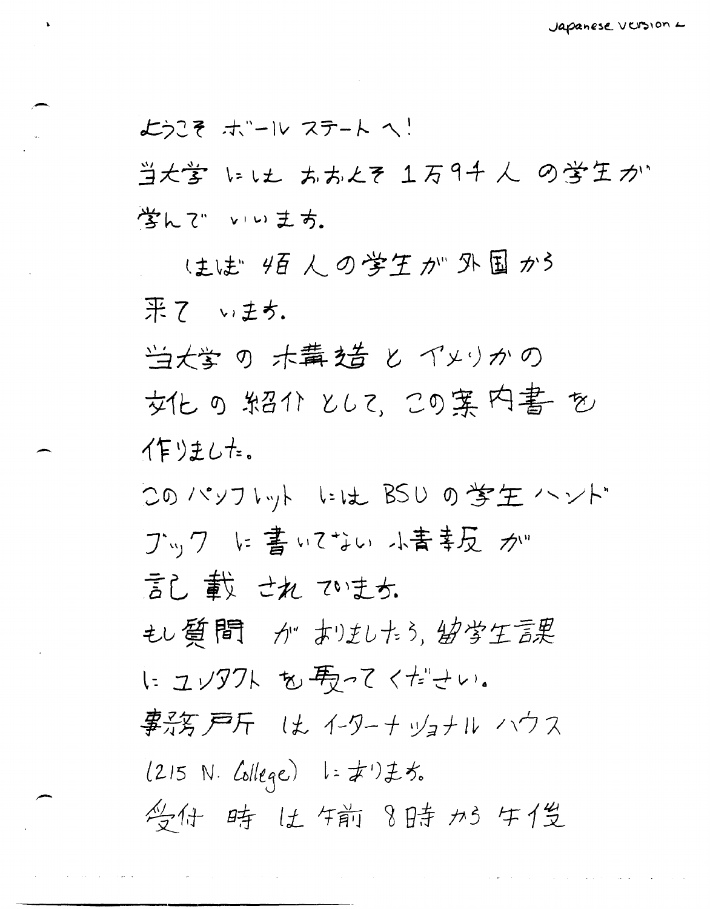ようこそ ホール ステート へ! 当大学 にしょ ああとき 1万9千人 の学生が 学んで いいまち.

(主)は" 4百人の学生が 外国かう 果 7 いまち.

当大学の 木冓 姞 と イメリかの 女化の知るかとして、この案内書を イ乍りました。

このパソフトット いは BSU の学生 ハンド ブック に書いてない 小青姜反 か" 言し載せれています。 もし質問 が おほしたら、幼学生言果 に ユソタクト も 馬ってください。 事務戸斤 は イターナッォナル ハウス  $(215 N. College)$   $1:#11 \nless 5.$ 学什 時 比尔前 8時 加 牛俊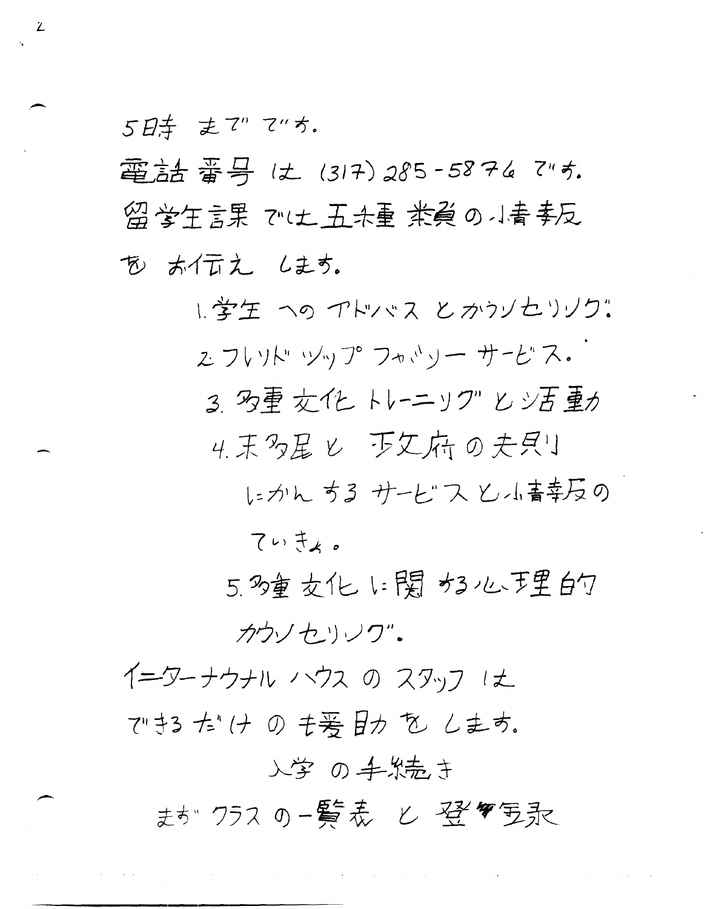5日キ まで マッカ.

電話番号は(317)285-5874 です. 留学生言果 では五米重 業員の小青季反 あ ホイムえ します。

> 1. 学生 への アトレッス と かうノセリノク: こフいド ツップ フォッソー サービス。 3 万重女化 トレーニック"とシ百重カ 4. 末多星 レ 下文府の夫具リ にかん ちる サービス と小書専反の ていきょ。

5.多重交化1:関为3心于里的 カウソセリック"。

 $\mathcal{A}$  and  $\mathcal{A}$  are  $\mathcal{A}$  and  $\mathcal{A}$ 

イーターナウナル ハウス の スタッフ にん できる た'(ナ の も号 目力 を します.

. We shall also assume that the same simple state  $\mathcal{A}_\mathcal{A}$  is a simple state of the same state of  $\mathcal{A}_\mathcal{A}$ 

入学 の手殺売き

まが クラス の一覧表 ヒ 登毎 写永

 $\mathcal{L}$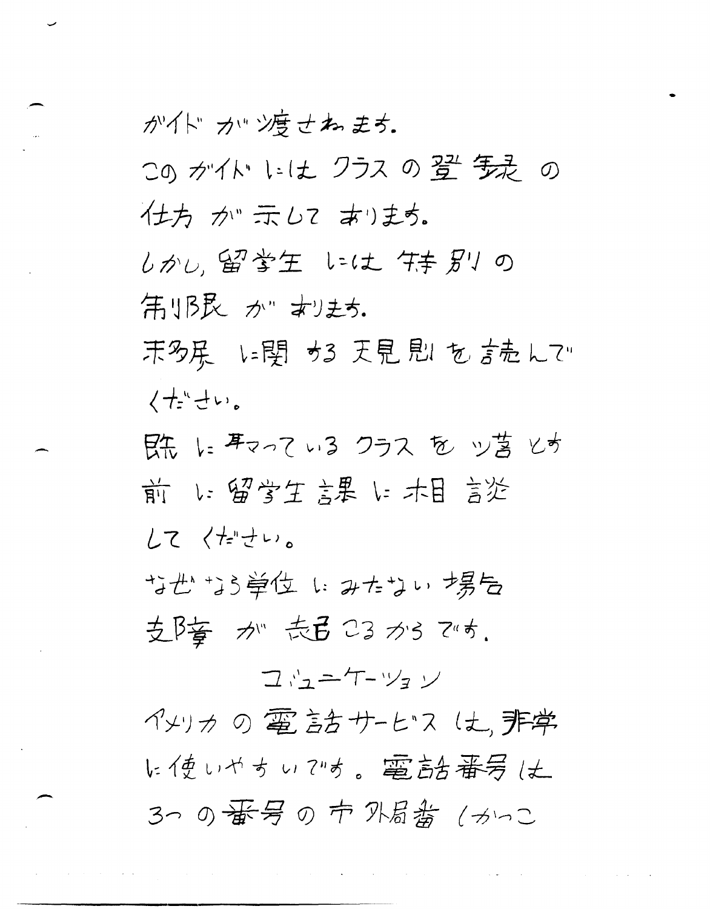が仆カッツ度せねます。 この がイド いは クラス の 翌 毎是 の 仕方 か 示して あります。 しかし、留営生 いは 供手別の 第1B民 ゕ" おりまち.

末多尿 に関 かる 天見 思 を 言売 んて… くせ゛せい。

既 にまっている クラス を ツ苔 とす 前 い留学生 課 に木目 言溢 レて くたきしょ

甘世 当道位 にみたない 場合 支降 が 志弓 C3 から では.

コウニケーツョン

イメリカ の 電 言古 サーヒ"ス (土, 非学 に使いやすいです。電話番号は 3つ の番号 の 市 外尉翁 (カいこ

والتواصل والمستحدث والمستور والمتحاد والمستحدث والمستحدث والمستحدث والمستحدث والمستحدث والمستحدث والمستحدث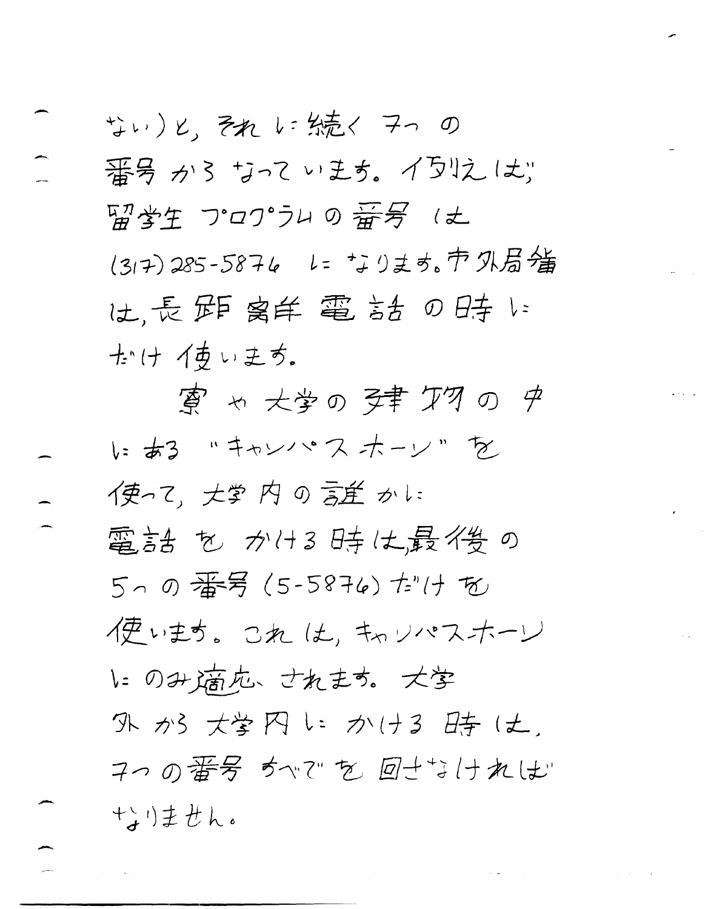ない)と、それしに続く マっ の 番号から ちっています。イラリえしょ 留学生 フロワ゚ラムの番号(土 (317)285-5876 レ= なります。市外局墙 は、長距离羊電話の時に 士付イあいます。

夏 ゃ 大学の 孕妻 ケクの ゆ いある "キャンパスホーン"を 使って、大学内の言単かに 電話 を かけ3 時は最後の 5~の番号(5-5876)だけを 1更います。 これ は、 キャ ソ パス ナーレ いのみ滴応、されます。大学 外が 大学 円 に かける 時 は. 7つの番号 かで を 回せるければ 十つません。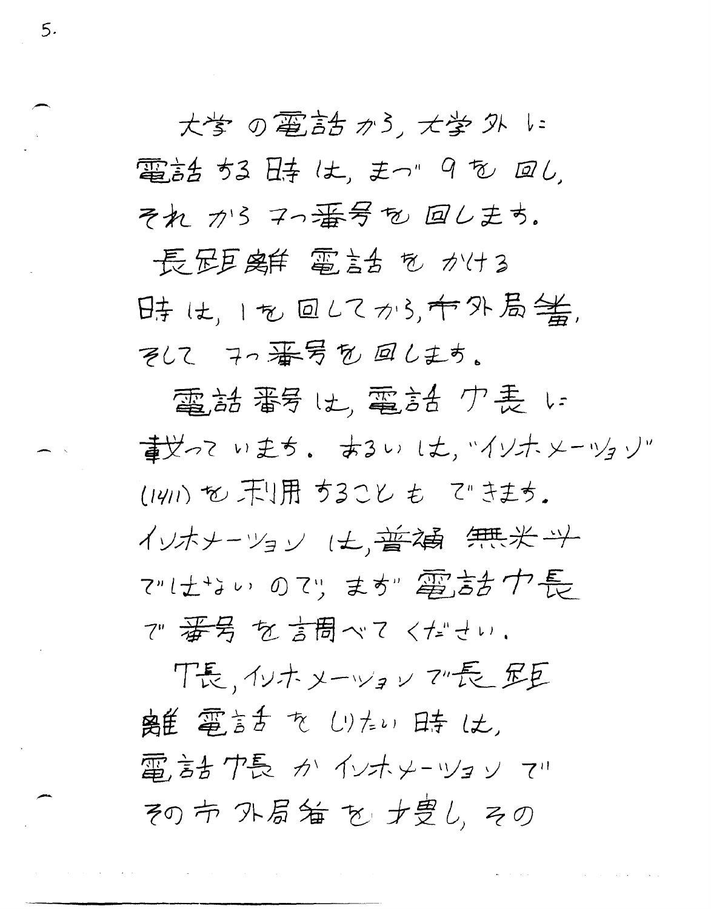大学の電話がら、大学外に 電話 ちる 日寺 は、まっ" 9 も 回し. それ から マっ番号も 回しまち。

 $5.$ 

長足豆腐羊 電話台 も かける 時は、1を回してから、台外局等, そしてアの番号を回します。

電話番号は, 電話 ク表に 董芝っていまち。 あるい は、バイソナメーツョソ" (1411) も 干!用 ちること も て きまち. イリオナーツョン は、普遍 無米斗 ではおいのか、まか 電話が長 で 番号を言問ベてください.

 $\bullet$  . The contract of the contract of the contract of  $\bullet$ 

下長、イソホメーツョン で長 足巨 离隹 電言舌 を しけい 日寺 しよ. 雷彦台 ク長 か インホメーツョン てい その市 外局箱 を 才豊し, その

 $\mathcal{A}$  and  $\mathcal{A}$  is a subset of the set of the set of the set of the set of  $\mathcal{A}$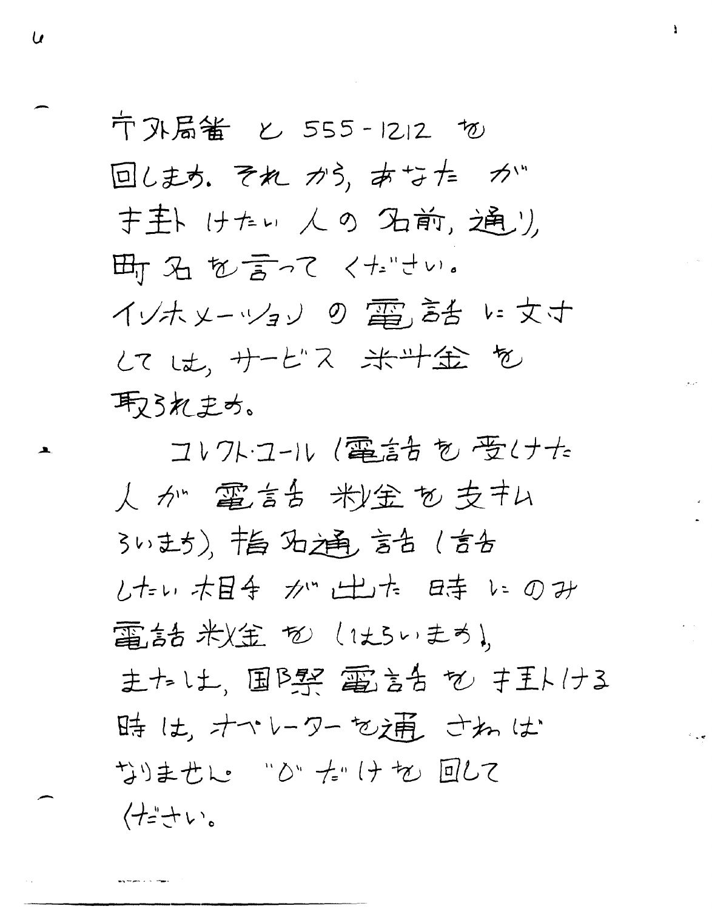〒外局番 と 555-1212 切 回します。 それ から、あなた が 于主ト けたい 人の 石前, 通り 町石を言ってください。 インホメーツョンの電話をい女す してした、サービス 米斗金 を 取られます。

コレクト・コール (電話台を受けた 人が電話お粉金を支キム 3いまち)、书与 3七通 言舌 (言舌 したい 木目手 が 出た 日寺 いのみ 電話 米)金 も (はらいまち), 主たし土、国BSR 電言舌 も キ王ト/ナる 時は、オペレーターを補ごねは なりません "ひ"た"けを回して 仕ささい。

 $\boldsymbol{\mathcal{U}}$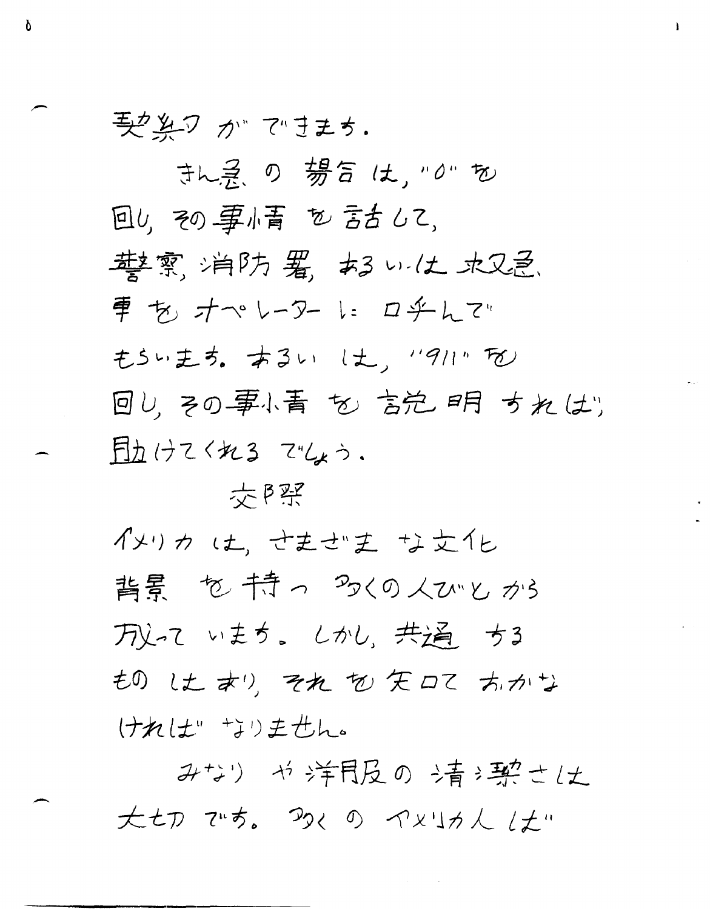要楽ワ が できます。

Ò

まん ? の 势合 は, "0" を 回り、その事情を言まして、 華雲, 消防 署, あい仕 水又忌. 車もオペレーターにロチんで もらいます。 あるい しよ、 "911" な 回し、その事小青 も 言范 明 すれはり 目力けてくれる でしょう.

女P买

イメリカ は、せませき な女化 背景 も持っ 多くの人びとから 万义って いまち。 しかし、共通する もの しょ おり、それ も 矢口て あかな ければ もりません。

みなり や洋月及の 清津空仕 大七刀 です。 かくの イメリカん した…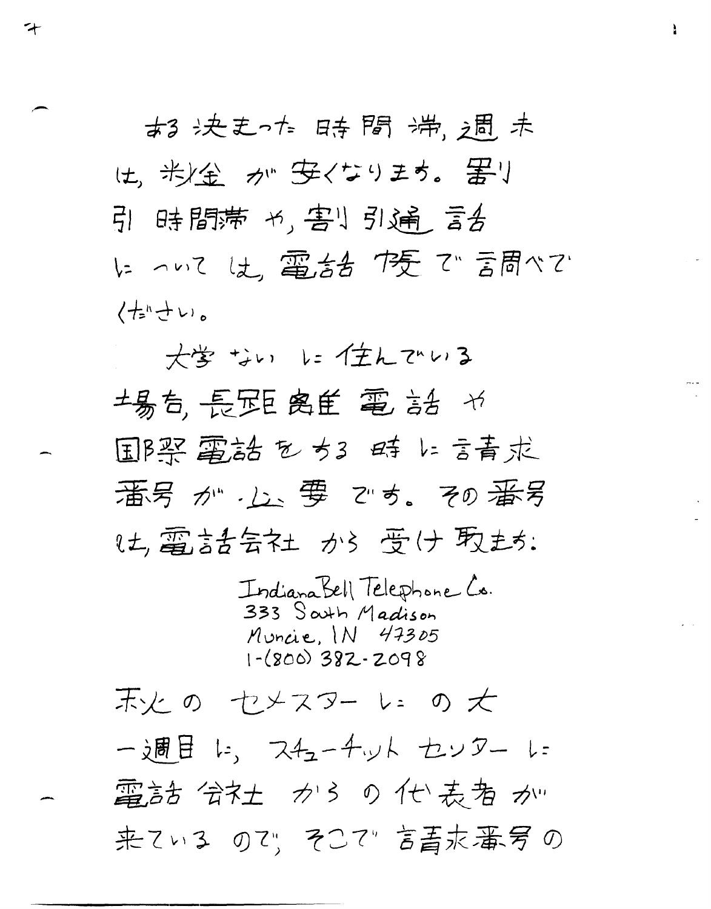古る 决走った 日寺間 滞、相、未 は、米全 が 安くなります。 罢り 引 時間滞 +,害!引通 言舌 にっいては、電話を下乗で言問べて (七ハナい。

 $\overline{\mathbf{r}}$ 

大学 ない に任んでいる 場后,長距离至電話が 国B架 電話 をちる 時 に言青求 番号が、」、要です。その番号 は,電話告知 から 受け 取もち:

Indiana Bell Telephone Co. 333 South Madison Muncie, IN 47305  $1-(800)$  382-2098

末火の セメスター いっか 一週目に、スチューチットセンターに 電話 会社 からの仕表者が 来ている のひ、そこで"言書求番号の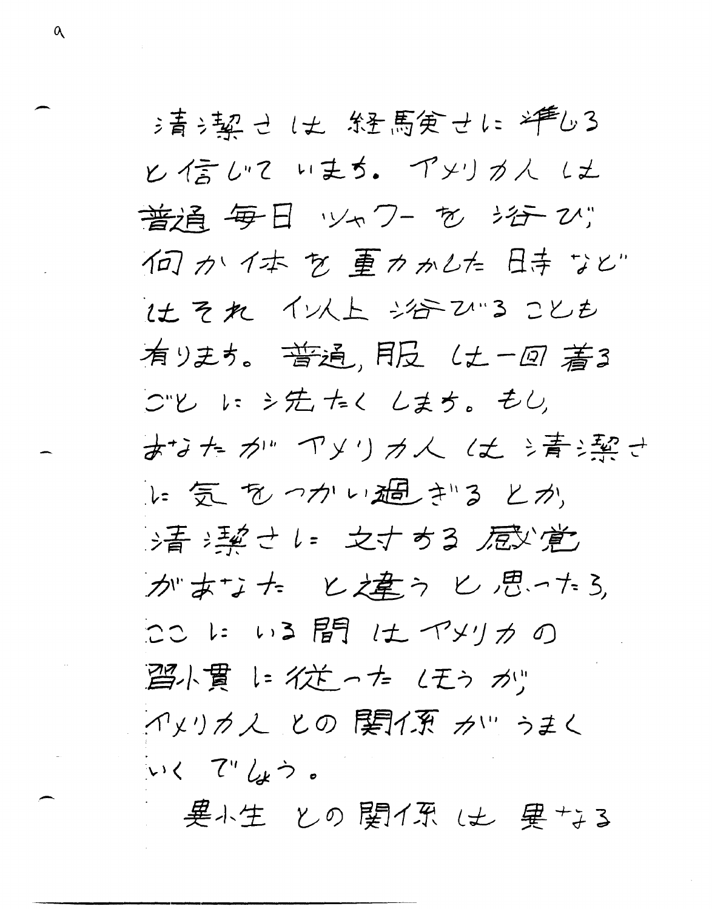氵菁氵契 → 1丈 糸を馬実 →1: 神色3 と信いています。 アメリカ人にも 普通毎日 ツャワー を 治 び 何か仕去を重わかした日寺など 社それ イン人上 治2 2 ことも 有ります。普通、月日 (土一回著3 つと に シ先 たく しまち。もし おなたが アメリカ人 は 清津 い気をつかい猫さるとか お音 津さし 女才する 屈い覚 がまちた と棒うし思ける ここに いる間 は イメリカの ||望小貫 1= 1位 った (モう が) イメリカ人 との 関イ系 カツ うまく いく でんう。

 $\alpha$ 

- 異小生 との 関イ系 は 異 +; 3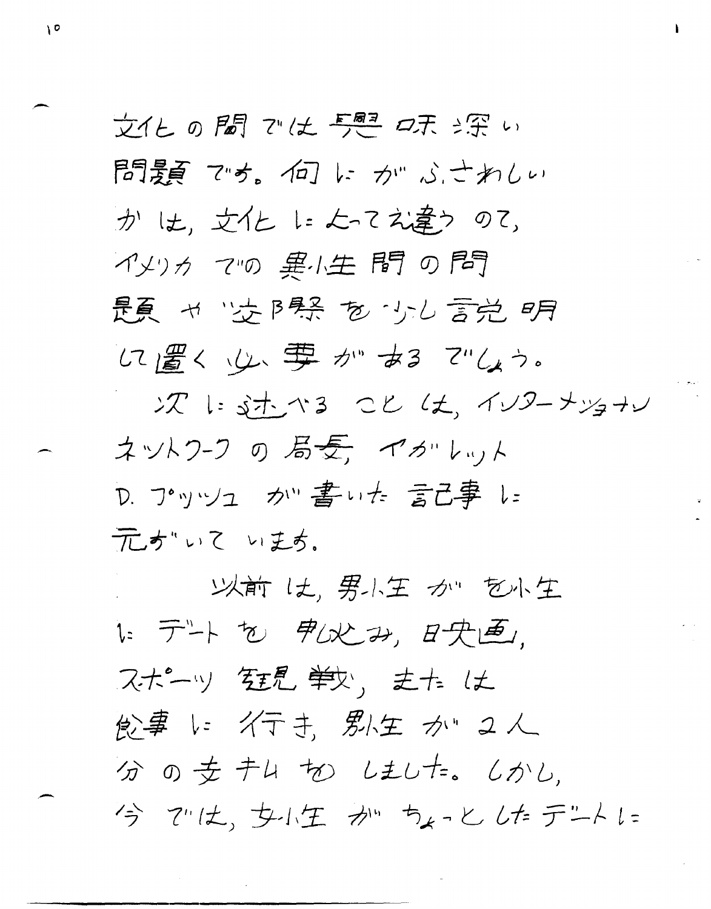文化の圖 ごは 豊星 味 深い 問題 マち。何にかねぶされしい かは、女化によってえ違うのて、 イメリカ ての 悪小生 間 の 問 是夏 ャ 性限系 を 少し言党 明 に置く 心 専 が お でしか

次に述べる こと は、インターナツョナレ ネットワーク の 局長, イガルット D. プッツュ か"書いた 言己事 レ= 元がいて いまか。

以前 は、男小王 か を小生 にテトセ 90处み、日央画, スポーツ 狂見 単少, または 飲事 い イテキ、 男人生 かい 2人 分の支キム切 しました。 しかし. 今 では、女に生 が ちょっとしたデニトに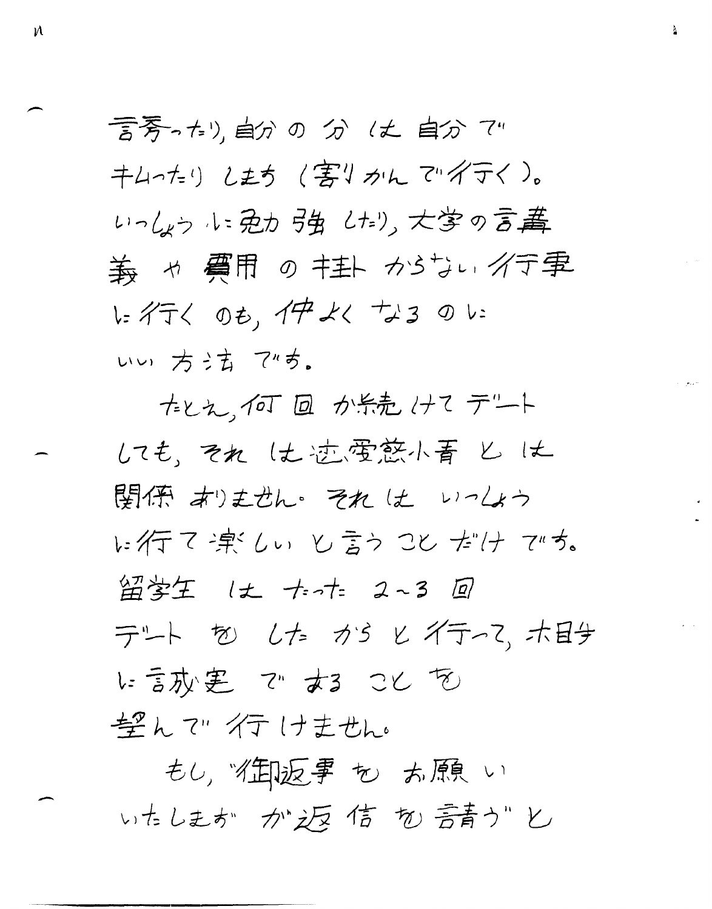言芳ったり, 自分の分 (丈 自分 で" キムーたりします(害りかんでダテく)。 いっしょうルミ免力引生め、大学の言葉 義 ャ 費用 の キ主ト カらちい イテ事 レイテく のも、イサ よく +ょ3 のい いい方法です。

たとえ、何回回か糸売けてデート しても、それに土迹要慈小青とは 関係 おりません それ は いっしょう に行て津しぃ し言う こと だけ でち。 留学生 は たった 2~3 回 テート もとした カタヒイティマ、ホ日子 に言办:患 で ある こと を 望んで 行けません。

もし, "街返事 も お願い いたしまか か返信 か 音かじ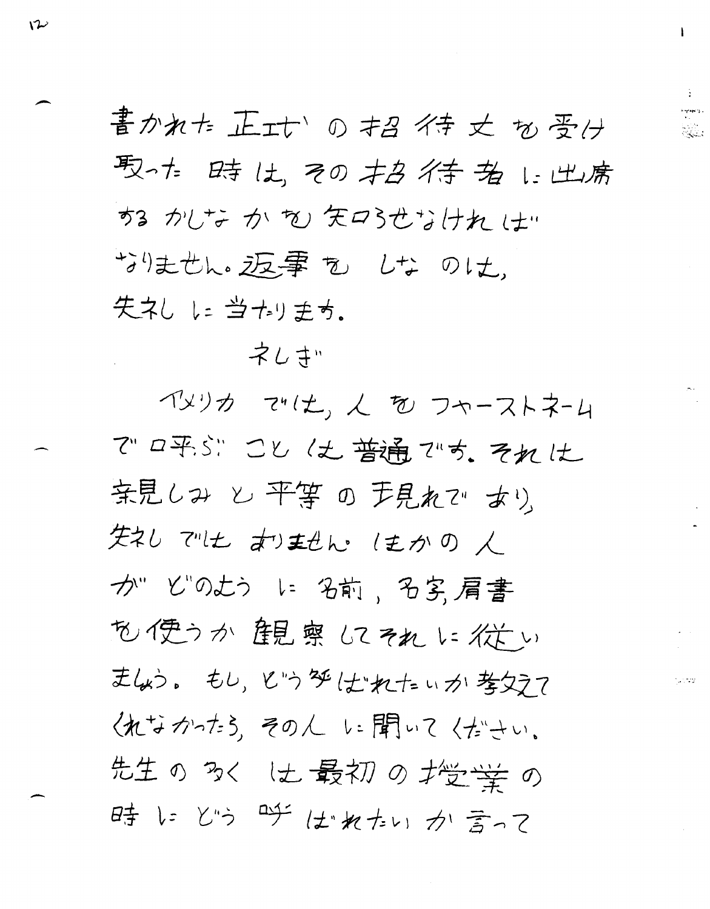書かれた 正士い の お イキ 丈 も 晋 け 取性 時は、その本々作者に出席 する かしな か を 矢口らせなけれ は… お生せん。返事も しなのは、 失ネししょ当ホリます。

ネレ キ

イメリカ マツヒ、人 を フャーストネーム でロ平ぶり ことは普通です。それは 亲見しみ と 平等 の 声見れて あり 失礼 では すましん ほかの人 か" どのよう に 名前、名字、肩書 も使うか 観察 にてれ に従い ましょう。もし、とうダはれたいか考ええて 《れなかけら、その人に聞いて〈ださい。 先生の多くは最初の推学学の 時にどう 呼ばれたいか言って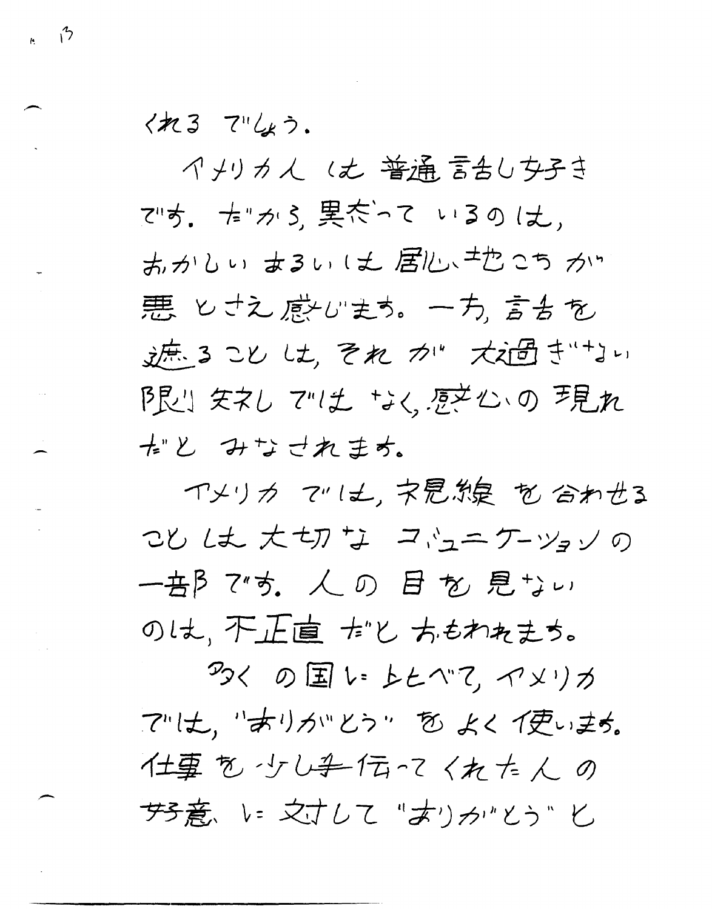くれる でしょう.

 $\frac{1}{k}$  13

イメリカん (丈 普通言含しち子き です。 たりがら、異たって いるのは、 あかしぃ まるい は 居心 せたこち かい 悪 とさえ 感心ます。 一方、言舌を 逆、るこししも、それかり、大道まいりい 厚心 矢ネレ では なく 感を心の 手見れ ポと みなされます。

イメリカ ていも、ネ思想 を合わせる ことしま 大切な コルニケーツョンの 一音β 7"す。 人 の 目 を 見 ゙しぃ のは、不正直 おと ちもわれまち。

ろく の国 い レヒヘて イメリカ アルモ、"オリカッとう" を よくイ更います。 仕事を少し手伝ってくれた人の サチ意、い 文寸して "オリカ"とう" と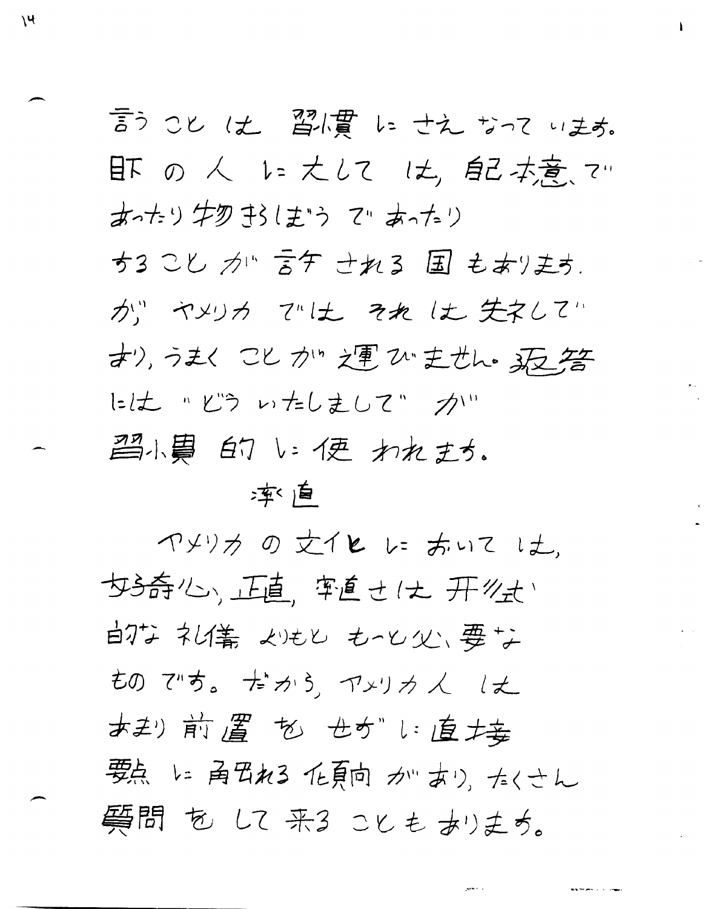言うことは、習慣にさえなっています。 肝の人に大しては、配去意マ あったり牛勿まらしまる ていあったり ちるこし カル 言ケ せれる 国 もあります. が、ヤメリカ では それは失えして すり, うまく こと かい 之軍 ひ 主せん 。 天若 には "どういたしまして"カい 習小員 白ワレン便 われます。

# 率 直

 $\mathcal{V}$ 

ヤメリカの文イヒレミホいては、 女子奇心、正直、牢直さは 开丝式 白な 礼儀 めもし もっし 必要な ものです。 だから、 マンリカ 人 しえ おまり前置 も せかい直接 要点 に 角円れる 化頁向 か…あり、たくさん 質問 も して 来る ことも ありまち。